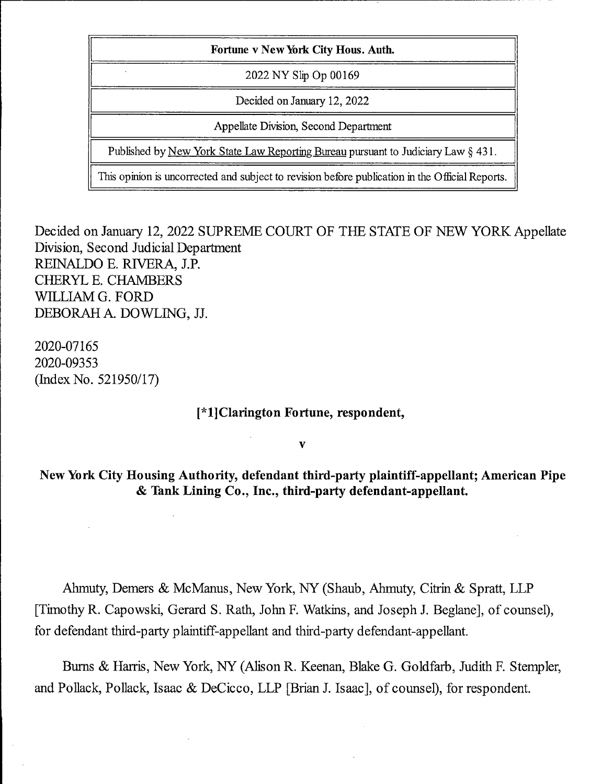| Fortune v New York City Hous. Auth.                                                             |
|-------------------------------------------------------------------------------------------------|
| 2022 NY Slip Op 00169                                                                           |
| Decided on January 12, 2022                                                                     |
| Appellate Division, Second Department                                                           |
| Published by New York State Law Reporting Bureau pursuant to Judiciary Law § 431.               |
| This opinion is uncorrected and subject to revision before publication in the Official Reports. |

Decided on January 12, 2022 SUPREME COURT OF THE STATE OF NEW YORK Appellate Division, Second Judicial Department REINALDO E. RIVERA, J.P. CHERYL E. CHAMBERS WILLIAM G. FORD DEBORAH A. DOWLING, JJ.

2020-07165 2020-09353 (Index No. 521950/17)

## [\*l]Clarington Fortune, respondent,

 $\overline{\mathbf{v}}$ 

New York City Housing Authority, defendant third-party plaintiff-appellant; American Pipe & Tank Lining Co., Inc., third-party defendant-appellant.

Ahmuty, Demers & McManus, New York, NY (Shaub, Ahmuty, Citrin & Spratt, LLP [Timothy R. Capowski, Gerard S. Rath, John F. Watkins, and Joseph J. Beglane], of counsel), for defendant third-party plaintiff-appellant and third-party defendant-appellant.

Bums & Harris, New York, NY (AJison R. Keenan, Blake G. Goldfarb, Judith F. Stempler, and Pollack, Pollack, Isaac & DeCicco, LLP [Brian J. Isaac], of counsel), for respondent.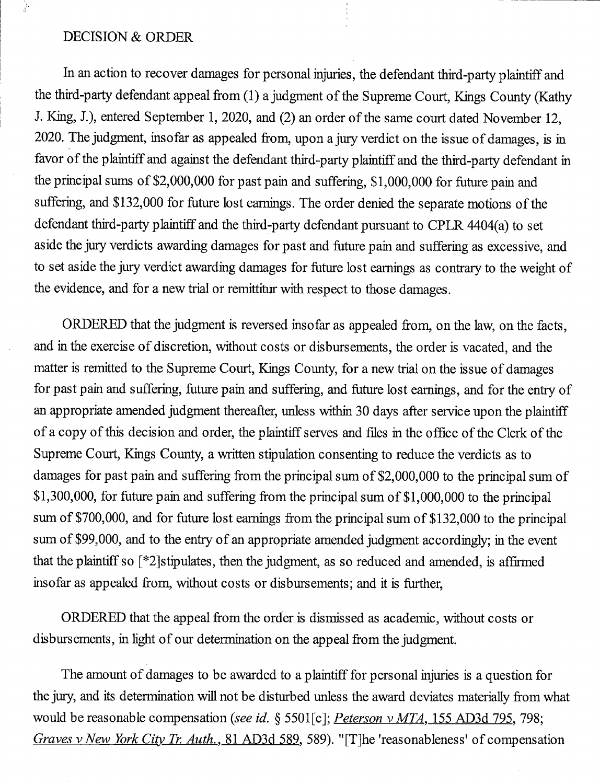## DECISION & ORDER

교

In an action to recover damages for personal injuries, the defendant third-party plaintiff and the third-party defendant appeal from (1) a judgment of the Supreme Court, Kings County (Kathy J. King, J.), entered September 1, 2020, and (2) an order of the same court dated November 12, 2020. The judgment, insofar as appealed from, upon a jury verdict on the issue of damages, is in favor of the plaintiff and against the defendant third-party plaintiff and the third-party defendant in the principal sums of \$2,000,000 for past pain and suffering, \$1,000,000 for future pain and suffering, and \$132,000 for future lost earnings. The order denied the separate motions of the defendant third-party plaintiff and the third-party defendant pursuant to CPLR 4404(a) to set aside the jury verdicts awarding damages for past and future pain and suffering as excessive, and to set aside the jury verdict awarding damages for future lost earnings as contrary to the weight of the evidence, and for a new trial or remittitur with respect to those damages.

ORDERED that the judgment is reversed insofar as appealed from, on the law, on the facts, and in the exercise of discretion, without costs or disbursements, the order is vacated, and the matter is remitted to the Supreme Court, Kings County, for a new trial on the issue of damages for past pain and suffering, future pain and suffering, and future lost earnings, and for the entry of an appropriate amended judgment thereafter, unless within 30 days after service upon the plaintiff of a copy of this decision and order, the plaintiff serves and files in the office of the Clerk of the Supreme Court, Kings County, a written stipulation consenting to reduce the verdicts as to damages for past pain and suffering from the principal sum of \$2,000,000 to the principal sum of \$1,300,000, for future pain and suffering from the principal sum of \$1,000,000 to the principal sum of \$700,000, and for future lost earnings from the principal sum of \$132,000 to the principal sum of \$99,000, and to the entry of an appropriate amended judgment accordingly; in the event that the plaintiff so [\*2]stipulates, then the judgment, as so reduced and amended, is affirmed insofar as appealed from, without costs or disbursements; and it is further,

ORDERED that the appeal from the order is dismissed as academic, without costs or disbursements, in light of our determination on the appeal from the judgment.

The amount of damages to be awarded to a plaintiff for personal injuries is a question for the jury, and its determination will not be disturbed unless the award deviates materially from what would be reasonable compensation (see id. § 5501 [c]; Peterson v MTA, 155 AD3d 795, 798; Graves v New York City Tr. Auth., 81 AD3d 589, 589). "[T]he 'reasonableness' of compensation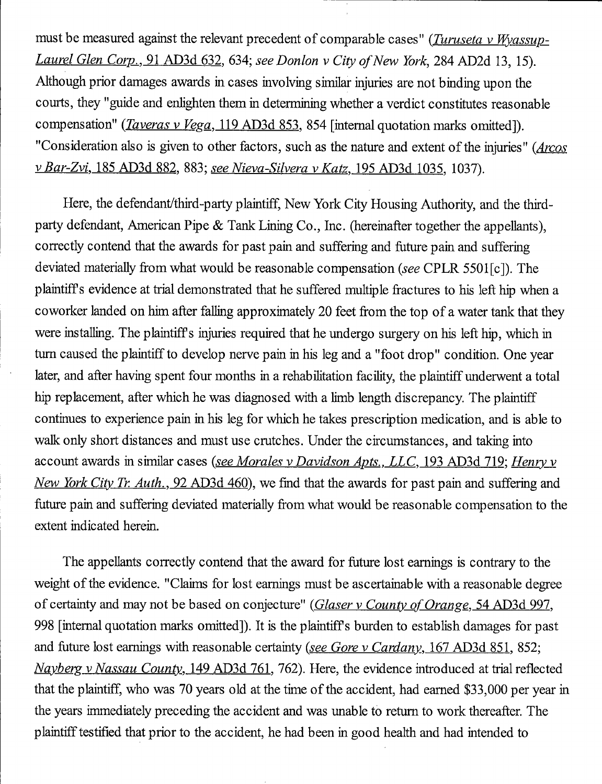must be measured against the relevant precedent of comparable cases" (*Turuseta v Wyassup*-Laurel Glen Corp., 91 AD3d 632, 634; see Donlon v City of New York, 284 AD2d 13, 15). Although prior damages awards in cases involving similar injuries are not binding upon the courts, they "guide and enlighten them in determining whether a verdict constitutes reasonable compensation" (*Taveras v Vega*, 119 AD3d 853, 854 [internal quotation marks omitted]). "Consideration also is given to other factors, such as the nature and extent of the injuries" (*Arcos* V Bar-Zvi. 185 AD3d 882. 883; see Nieva-Silvera v Katz. 195 AD3d 1035. 1037).

Here, the defendant/third-party plaintiff. New York City Housing Authority, and the thirdparty defendant, American Pipe & Tank Lining Co., Inc. (hereinafter together the appellants), correctly contend that the awards for past pain and suffering and future pain and suffering deviated materially from what would be reasonable compensation (see CPLR 5501[c]). The plaintiffs evidence at trial demonstrated that he suffered multiple fractures to his left hip when a coworker landed on him after falling approximately 20 feet from the top of a water tank that they were installing. The plaintiffs injuries required that he undergo surgery on his left hip, which in turn caused the plaintiff to develop nerve pain in his leg and a "foot drop" condition. One year later, and after having spent four months in a rehabilitation facility, the plaintiff underwent a total hip replacement, after which he was diagnosed with a limb length discrepancy. The plaintiff continues to experience pain in his leg for which he takes prescription medication, and is able to walk only short distances and must use crutches. Under the circumstances, and taking into account awards in similar cases (see Morales v Davidson Apts., LLC, 193 AD3d 719; Henry v New York City Tr. Auth., 92 AD3d 460), we find that the awards for past pain and suffering and future pain and suffering deviated materially from what would be reasonable compensation to the extent indicated herein.

The appellants correctly contend that the award for future lost earnings is contrary to the weight of the evidence. "Claims for lost earnings must be ascertainable with a reasonable degree of certainty and may not be based on conjecture" (Glaser v County of Orange, 54 AD3d 997, 998 [intemal quotation marks omitted]). It is the plaintiffs burden to establish damages for past and future lost earnings with reasonable certainty (see Gore v Cardany, 167 AD3d 851, 852; Nayberg v Nassau County, 149 AD3d 761, 762). Here, the evidence introduced at trial reflected that the plaintiff, who was 70 years old at the time of the accident, had eamed \$33,000 per year in the years immediately preceding the accident and was unable to retum to work thereafter. The plaintiff testified that prior to the accident, he had been in good health and had intended to